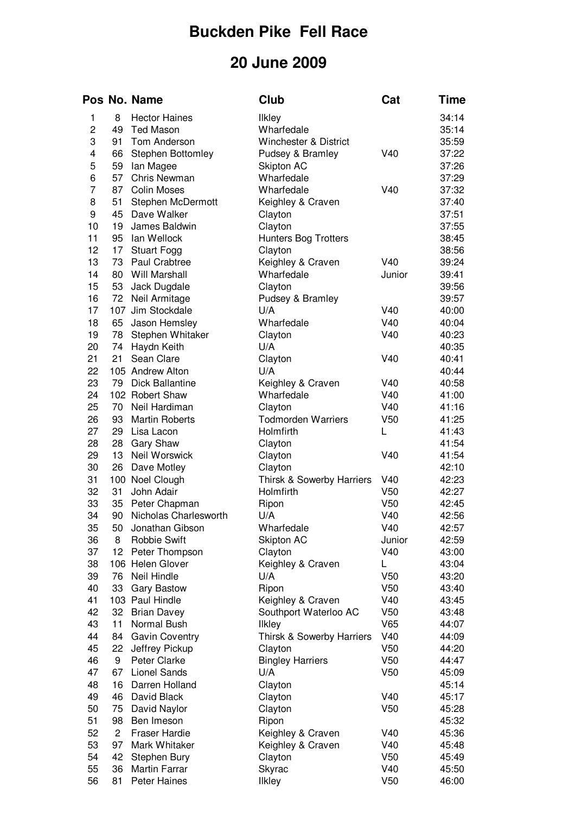## **Buckden Pike Fell Race**

## **20 June 2009**

|          |                 | Pos No. Name                | <b>Club</b>                            | Cat                                | Time           |
|----------|-----------------|-----------------------------|----------------------------------------|------------------------------------|----------------|
| 1        | 8               | <b>Hector Haines</b>        | Ilkley                                 |                                    | 34:14          |
| 2        | 49              | <b>Ted Mason</b>            | Wharfedale                             |                                    | 35:14          |
| 3        | 91              | Tom Anderson                | Winchester & District                  |                                    | 35:59          |
| 4        | 66              | Stephen Bottomley           | Pudsey & Bramley                       | V40                                | 37:22          |
| 5        | 59              | lan Magee                   | Skipton AC                             |                                    | 37:26          |
| 6        | 57              | <b>Chris Newman</b>         | Wharfedale                             |                                    | 37:29          |
| 7        | 87              | <b>Colin Moses</b>          | Wharfedale                             | V40                                | 37:32          |
| 8        | 51              | Stephen McDermott           | Keighley & Craven                      |                                    | 37:40          |
| 9        | 45              | Dave Walker                 | Clayton                                |                                    | 37:51          |
| 10       | 19              | James Baldwin               | Clayton                                |                                    | 37:55          |
| 11       | 95              | lan Wellock                 | <b>Hunters Bog Trotters</b>            |                                    | 38:45          |
| 12       | 17 <sub>1</sub> | <b>Stuart Fogg</b>          | Clayton                                |                                    | 38:56          |
| 13       | 73              | Paul Crabtree               | Keighley & Craven                      | V40                                | 39:24          |
| 14       | 80              | Will Marshall               | Wharfedale                             | Junior                             | 39:41          |
| 15       | 53              | Jack Dugdale                | Clayton                                |                                    | 39:56          |
| 16       | 72              | Neil Armitage               | Pudsey & Bramley                       |                                    | 39:57          |
| 17       | 107             | Jim Stockdale               | U/A                                    | V40                                | 40:00          |
| 18       | 65              | Jason Hemsley               | Wharfedale                             | V40                                | 40:04          |
| 19       | 78              | Stephen Whitaker            | Clayton                                | V40                                | 40:23          |
| 20       | 74              | Haydn Keith                 | U/A                                    |                                    | 40:35          |
| 21       | 21              | Sean Clare                  | Clayton                                | V40                                | 40:41          |
| 22       |                 | 105 Andrew Alton            | U/A                                    |                                    | 40:44          |
| 23       | 79              | <b>Dick Ballantine</b>      | Keighley & Craven                      | V40                                | 40:58          |
| 24       |                 | 102 Robert Shaw             | Wharfedale                             | V40                                | 41:00          |
| 25       | 70              | Neil Hardiman               | Clayton                                | V40                                | 41:16          |
| 26       | 93              | <b>Martin Roberts</b>       | <b>Todmorden Warriers</b>              | V <sub>50</sub>                    | 41:25          |
| 27       | 29              | Lisa Lacon                  | Holmfirth                              | L                                  | 41:43          |
| 28       | 28              | <b>Gary Shaw</b>            | Clayton                                |                                    | 41:54          |
| 29       | 13              | Neil Worswick               | Clayton                                | V40                                | 41:54          |
| 30       | 26              | Dave Motley                 | Clayton                                |                                    | 42:10          |
| 31<br>32 |                 | 100 Noel Clough             | Thirsk & Sowerby Harriers<br>Holmfirth | V40                                | 42:23          |
| 33       | 31<br>35        | John Adair<br>Peter Chapman | Ripon                                  | V <sub>50</sub><br>V <sub>50</sub> | 42:27<br>42:45 |
| 34       | 90              | Nicholas Charlesworth       | U/A                                    | V40                                | 42:56          |
| 35       | 50              | Jonathan Gibson             | Wharfedale                             | V40                                | 42:57          |
| 36       | 8               | <b>Robbie Swift</b>         | Skipton AC                             | Junior                             | 42:59          |
| 37       | 12              | Peter Thompson              | Clayton                                | V40                                | 43:00          |
| 38       |                 | 106 Helen Glover            | Keighley & Craven                      | L                                  | 43:04          |
| 39       | 76              | Neil Hindle                 | U/A                                    | V <sub>50</sub>                    | 43:20          |
| 40       | 33              | <b>Gary Bastow</b>          | Ripon                                  | V <sub>50</sub>                    | 43:40          |
| 41       |                 | 103 Paul Hindle             | Keighley & Craven                      | V40                                | 43:45          |
| 42       | 32              | <b>Brian Davey</b>          | Southport Waterloo AC                  | V <sub>50</sub>                    | 43:48          |
| 43       | 11              | Normal Bush                 | <b>Ilkley</b>                          | V65                                | 44:07          |
| 44       | 84              | <b>Gavin Coventry</b>       | Thirsk & Sowerby Harriers              | V40                                | 44:09          |
| 45       | 22              | Jeffrey Pickup              | Clayton                                | V <sub>50</sub>                    | 44:20          |
| 46       | 9               | Peter Clarke                | <b>Bingley Harriers</b>                | V <sub>50</sub>                    | 44:47          |
| 47       | 67              | <b>Lionel Sands</b>         | U/A                                    | V <sub>50</sub>                    | 45:09          |
| 48       | 16              | Darren Holland              | Clayton                                |                                    | 45:14          |
| 49       | 46              | David Black                 | Clayton                                | V40                                | 45:17          |
| 50       | 75              | David Naylor                | Clayton                                | V <sub>50</sub>                    | 45:28          |
| 51       | 98              | Ben Imeson                  | Ripon                                  |                                    | 45:32          |
| 52       | 2               | <b>Fraser Hardie</b>        | Keighley & Craven                      | V40                                | 45:36          |
| 53       | 97              | Mark Whitaker               | Keighley & Craven                      | V40                                | 45:48          |
| 54       | 42              | Stephen Bury                | Clayton                                | V <sub>50</sub>                    | 45:49          |
| 55       | 36              | Martin Farrar               | Skyrac                                 | V40                                | 45:50          |
| 56       | 81              | Peter Haines                | Ilkley                                 | V <sub>50</sub>                    | 46:00          |
|          |                 |                             |                                        |                                    |                |